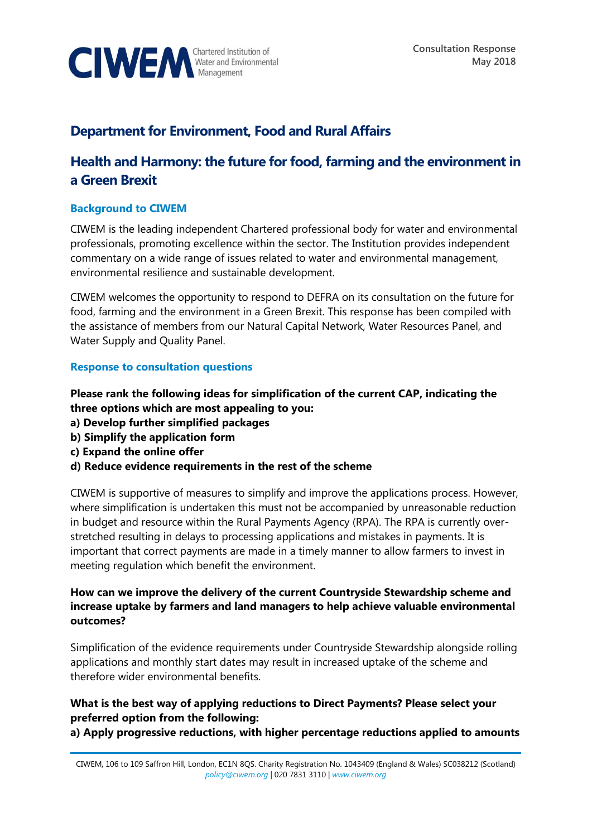

# **Department for Environment, Food and Rural Affairs**

# **Health and Harmony: the future for food, farming and the environment in a Green Brexit**

### **Background to CIWEM**

CIWEM is the leading independent Chartered professional body for water and environmental professionals, promoting excellence within the sector. The Institution provides independent commentary on a wide range of issues related to water and environmental management, environmental resilience and sustainable development.

CIWEM welcomes the opportunity to respond to DEFRA on its consultation on the future for food, farming and the environment in a Green Brexit. This response has been compiled with the assistance of members from our Natural Capital Network, Water Resources Panel, and Water Supply and Quality Panel.

#### **Response to consultation questions**

**Please rank the following ideas for simplification of the current CAP, indicating the three options which are most appealing to you:**

- **a) Develop further simplified packages**
- **b) Simplify the application form**
- **c) Expand the online offer**
- **d) Reduce evidence requirements in the rest of the scheme**

CIWEM is supportive of measures to simplify and improve the applications process. However, where simplification is undertaken this must not be accompanied by unreasonable reduction in budget and resource within the Rural Payments Agency (RPA). The RPA is currently overstretched resulting in delays to processing applications and mistakes in payments. It is important that correct payments are made in a timely manner to allow farmers to invest in meeting regulation which benefit the environment.

# **How can we improve the delivery of the current Countryside Stewardship scheme and increase uptake by farmers and land managers to help achieve valuable environmental outcomes?**

Simplification of the evidence requirements under Countryside Stewardship alongside rolling applications and monthly start dates may result in increased uptake of the scheme and therefore wider environmental benefits.

# **What is the best way of applying reductions to Direct Payments? Please select your preferred option from the following:**

**a) Apply progressive reductions, with higher percentage reductions applied to amounts** 

CIWEM, 106 to 109 Saffron Hill, London, EC1N 8QS. Charity Registration No. 1043409 (England & Wales) SC038212 (Scotland) *[policy@ciwem.org](mailto:policy@ciwem.org)* | 020 7831 3110 | *[www.ciwem.org](http://www.ciwem.org/)*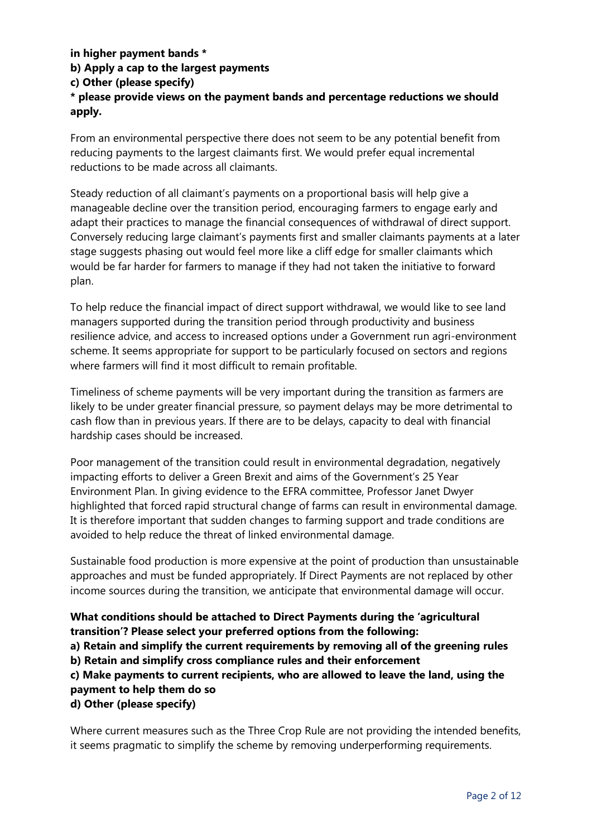# **in higher payment bands \* b) Apply a cap to the largest payments c) Other (please specify) \* please provide views on the payment bands and percentage reductions we should apply.**

From an environmental perspective there does not seem to be any potential benefit from reducing payments to the largest claimants first. We would prefer equal incremental reductions to be made across all claimants.

Steady reduction of all claimant's payments on a proportional basis will help give a manageable decline over the transition period, encouraging farmers to engage early and adapt their practices to manage the financial consequences of withdrawal of direct support. Conversely reducing large claimant's payments first and smaller claimants payments at a later stage suggests phasing out would feel more like a cliff edge for smaller claimants which would be far harder for farmers to manage if they had not taken the initiative to forward plan.

To help reduce the financial impact of direct support withdrawal, we would like to see land managers supported during the transition period through productivity and business resilience advice, and access to increased options under a Government run agri-environment scheme. It seems appropriate for support to be particularly focused on sectors and regions where farmers will find it most difficult to remain profitable.

Timeliness of scheme payments will be very important during the transition as farmers are likely to be under greater financial pressure, so payment delays may be more detrimental to cash flow than in previous years. If there are to be delays, capacity to deal with financial hardship cases should be increased.

Poor management of the transition could result in environmental degradation, negatively impacting efforts to deliver a Green Brexit and aims of the Government's 25 Year Environment Plan. In giving evidence to the EFRA committee, Professor Janet Dwyer highlighted that forced rapid structural change of farms can result in environmental damage. It is therefore important that sudden changes to farming support and trade conditions are avoided to help reduce the threat of linked environmental damage.

Sustainable food production is more expensive at the point of production than unsustainable approaches and must be funded appropriately. If Direct Payments are not replaced by other income sources during the transition, we anticipate that environmental damage will occur.

# **What conditions should be attached to Direct Payments during the 'agricultural transition'? Please select your preferred options from the following:**

**a) Retain and simplify the current requirements by removing all of the greening rules b) Retain and simplify cross compliance rules and their enforcement** 

# **c) Make payments to current recipients, who are allowed to leave the land, using the payment to help them do so**

**d) Other (please specify)**

Where current measures such as the Three Crop Rule are not providing the intended benefits, it seems pragmatic to simplify the scheme by removing underperforming requirements.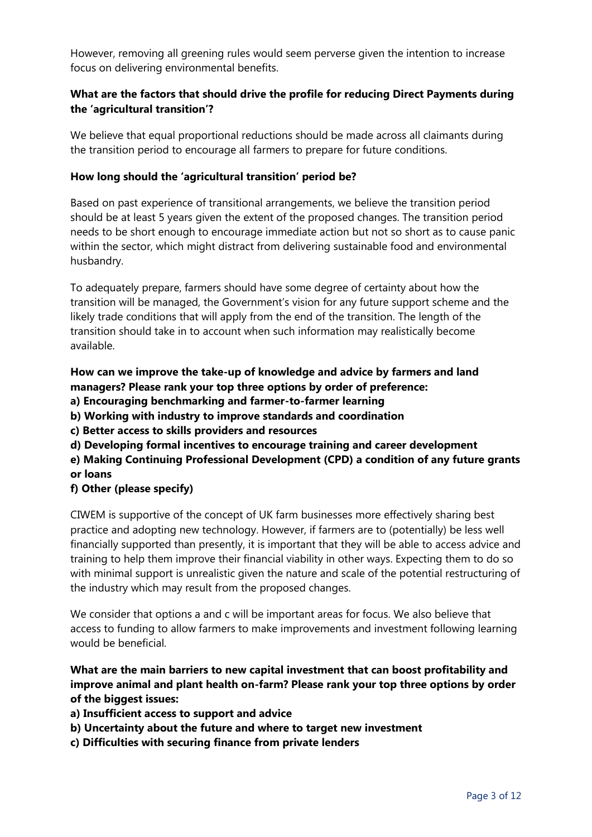However, removing all greening rules would seem perverse given the intention to increase focus on delivering environmental benefits.

# **What are the factors that should drive the profile for reducing Direct Payments during the 'agricultural transition'?**

We believe that equal proportional reductions should be made across all claimants during the transition period to encourage all farmers to prepare for future conditions.

## **How long should the 'agricultural transition' period be?**

Based on past experience of transitional arrangements, we believe the transition period should be at least 5 years given the extent of the proposed changes. The transition period needs to be short enough to encourage immediate action but not so short as to cause panic within the sector, which might distract from delivering sustainable food and environmental husbandry.

To adequately prepare, farmers should have some degree of certainty about how the transition will be managed, the Government's vision for any future support scheme and the likely trade conditions that will apply from the end of the transition. The length of the transition should take in to account when such information may realistically become available.

# **How can we improve the take-up of knowledge and advice by farmers and land managers? Please rank your top three options by order of preference:**

- **a) Encouraging benchmarking and farmer-to-farmer learning**
- **b) Working with industry to improve standards and coordination**
- **c) Better access to skills providers and resources**
- **d) Developing formal incentives to encourage training and career development**
- **e) Making Continuing Professional Development (CPD) a condition of any future grants or loans**
- **f) Other (please specify)**

CIWEM is supportive of the concept of UK farm businesses more effectively sharing best practice and adopting new technology. However, if farmers are to (potentially) be less well financially supported than presently, it is important that they will be able to access advice and training to help them improve their financial viability in other ways. Expecting them to do so with minimal support is unrealistic given the nature and scale of the potential restructuring of the industry which may result from the proposed changes.

We consider that options a and c will be important areas for focus. We also believe that access to funding to allow farmers to make improvements and investment following learning would be beneficial.

**What are the main barriers to new capital investment that can boost profitability and improve animal and plant health on-farm? Please rank your top three options by order of the biggest issues:** 

- **a) Insufficient access to support and advice**
- **b) Uncertainty about the future and where to target new investment**
- **c) Difficulties with securing finance from private lenders**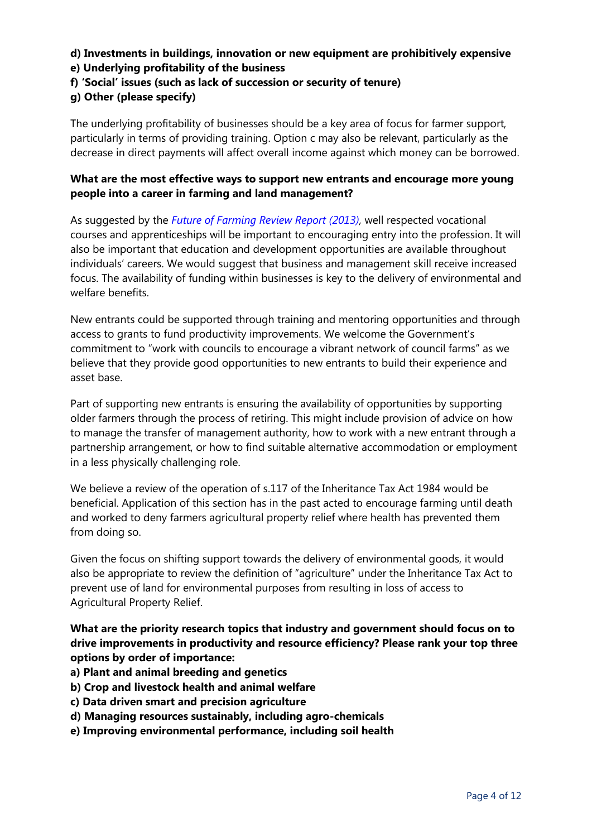#### **d) Investments in buildings, innovation or new equipment are prohibitively expensive e) Underlying profitability of the business**

- **f) 'Social' issues (such as lack of succession or security of tenure)**
- **g) Other (please specify)**

The underlying profitability of businesses should be a key area of focus for farmer support, particularly in terms of providing training. Option c may also be relevant, particularly as the decrease in direct payments will affect overall income against which money can be borrowed.

## **What are the most effective ways to support new entrants and encourage more young people into a career in farming and land management?**

As suggested by the *[Future of Farming Review Report \(2013\),](https://assets.publishing.service.gov.uk/government/uploads/system/uploads/attachment_data/file/211175/pb13982-future-farming-review-20130709.pdf)* well respected vocational courses and apprenticeships will be important to encouraging entry into the profession. It will also be important that education and development opportunities are available throughout individuals' careers. We would suggest that business and management skill receive increased focus. The availability of funding within businesses is key to the delivery of environmental and welfare benefits

New entrants could be supported through training and mentoring opportunities and through access to grants to fund productivity improvements. We welcome the Government's commitment to "work with councils to encourage a vibrant network of council farms" as we believe that they provide good opportunities to new entrants to build their experience and asset base.

Part of supporting new entrants is ensuring the availability of opportunities by supporting older farmers through the process of retiring. This might include provision of advice on how to manage the transfer of management authority, how to work with a new entrant through a partnership arrangement, or how to find suitable alternative accommodation or employment in a less physically challenging role.

We believe a review of the operation of s.117 of the Inheritance Tax Act 1984 would be beneficial. Application of this section has in the past acted to encourage farming until death and worked to deny farmers agricultural property relief where health has prevented them from doing so.

Given the focus on shifting support towards the delivery of environmental goods, it would also be appropriate to review the definition of "agriculture" under the Inheritance Tax Act to prevent use of land for environmental purposes from resulting in loss of access to Agricultural Property Relief.

# **What are the priority research topics that industry and government should focus on to drive improvements in productivity and resource efficiency? Please rank your top three options by order of importance:**

- **a) Plant and animal breeding and genetics**
- **b) Crop and livestock health and animal welfare**
- **c) Data driven smart and precision agriculture**
- **d) Managing resources sustainably, including agro-chemicals**
- **e) Improving environmental performance, including soil health**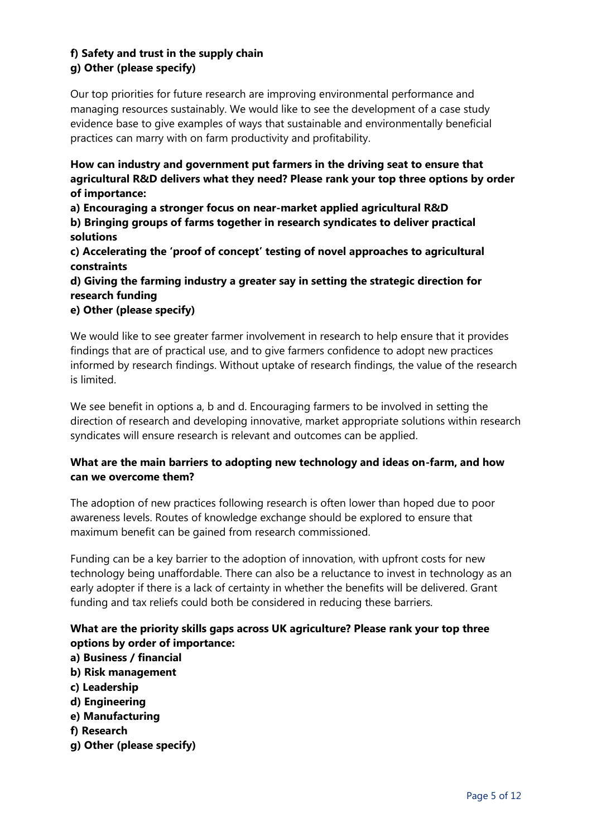# **f) Safety and trust in the supply chain g) Other (please specify)**

Our top priorities for future research are improving environmental performance and managing resources sustainably. We would like to see the development of a case study evidence base to give examples of ways that sustainable and environmentally beneficial practices can marry with on farm productivity and profitability.

**How can industry and government put farmers in the driving seat to ensure that agricultural R&D delivers what they need? Please rank your top three options by order of importance:** 

**a) Encouraging a stronger focus on near-market applied agricultural R&D** 

**b) Bringing groups of farms together in research syndicates to deliver practical solutions** 

**c) Accelerating the 'proof of concept' testing of novel approaches to agricultural constraints** 

**d) Giving the farming industry a greater say in setting the strategic direction for research funding** 

#### **e) Other (please specify)**

We would like to see greater farmer involvement in research to help ensure that it provides findings that are of practical use, and to give farmers confidence to adopt new practices informed by research findings. Without uptake of research findings, the value of the research is limited.

We see benefit in options a, b and d. Encouraging farmers to be involved in setting the direction of research and developing innovative, market appropriate solutions within research syndicates will ensure research is relevant and outcomes can be applied.

# **What are the main barriers to adopting new technology and ideas on-farm, and how can we overcome them?**

The adoption of new practices following research is often lower than hoped due to poor awareness levels. Routes of knowledge exchange should be explored to ensure that maximum benefit can be gained from research commissioned.

Funding can be a key barrier to the adoption of innovation, with upfront costs for new technology being unaffordable. There can also be a reluctance to invest in technology as an early adopter if there is a lack of certainty in whether the benefits will be delivered. Grant funding and tax reliefs could both be considered in reducing these barriers.

# **What are the priority skills gaps across UK agriculture? Please rank your top three options by order of importance:**

- **a) Business / financial**
- **b) Risk management**
- **c) Leadership**
- **d) Engineering**
- **e) Manufacturing**
- **f) Research**
- **g) Other (please specify)**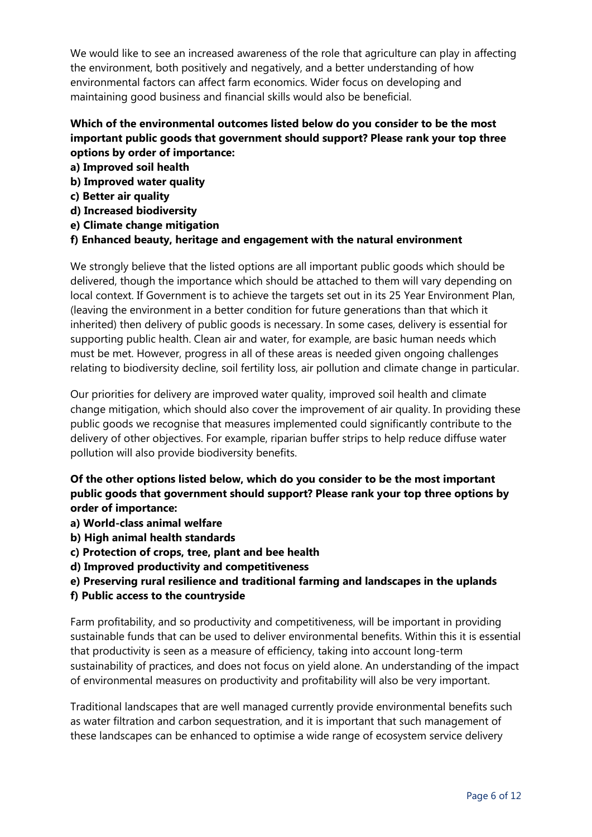We would like to see an increased awareness of the role that agriculture can play in affecting the environment, both positively and negatively, and a better understanding of how environmental factors can affect farm economics. Wider focus on developing and maintaining good business and financial skills would also be beneficial.

# **Which of the environmental outcomes listed below do you consider to be the most important public goods that government should support? Please rank your top three options by order of importance:**

- **a) Improved soil health**
- **b) Improved water quality**
- **c) Better air quality**
- **d) Increased biodiversity**
- **e) Climate change mitigation**

#### **f) Enhanced beauty, heritage and engagement with the natural environment**

We strongly believe that the listed options are all important public goods which should be delivered, though the importance which should be attached to them will vary depending on local context. If Government is to achieve the targets set out in its 25 Year Environment Plan, (leaving the environment in a better condition for future generations than that which it inherited) then delivery of public goods is necessary. In some cases, delivery is essential for supporting public health. Clean air and water, for example, are basic human needs which must be met. However, progress in all of these areas is needed given ongoing challenges relating to biodiversity decline, soil fertility loss, air pollution and climate change in particular.

Our priorities for delivery are improved water quality, improved soil health and climate change mitigation, which should also cover the improvement of air quality. In providing these public goods we recognise that measures implemented could significantly contribute to the delivery of other objectives. For example, riparian buffer strips to help reduce diffuse water pollution will also provide biodiversity benefits.

# **Of the other options listed below, which do you consider to be the most important public goods that government should support? Please rank your top three options by order of importance:**

- **a) World-class animal welfare**
- **b) High animal health standards**
- **c) Protection of crops, tree, plant and bee health**
- **d) Improved productivity and competitiveness**

#### **e) Preserving rural resilience and traditional farming and landscapes in the uplands**

**f) Public access to the countryside**

Farm profitability, and so productivity and competitiveness, will be important in providing sustainable funds that can be used to deliver environmental benefits. Within this it is essential that productivity is seen as a measure of efficiency, taking into account long-term sustainability of practices, and does not focus on yield alone. An understanding of the impact of environmental measures on productivity and profitability will also be very important.

Traditional landscapes that are well managed currently provide environmental benefits such as water filtration and carbon sequestration, and it is important that such management of these landscapes can be enhanced to optimise a wide range of ecosystem service delivery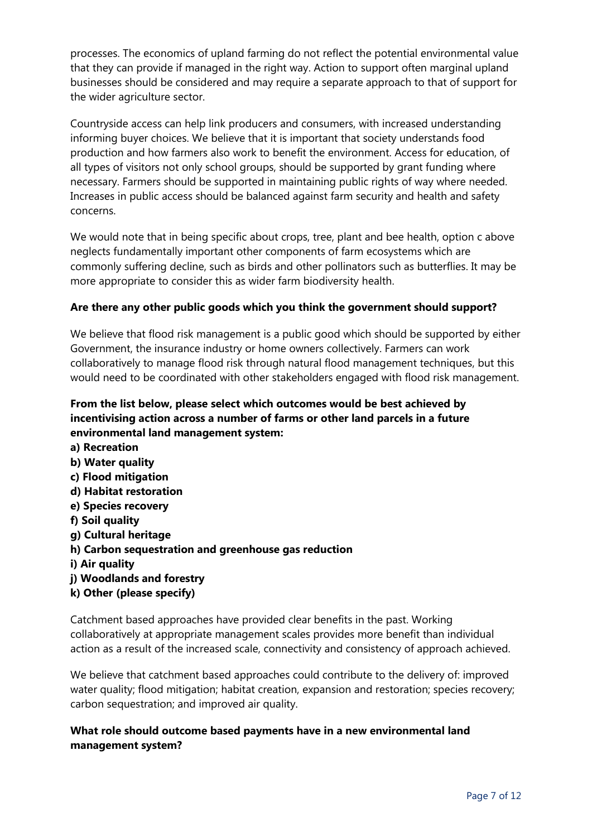processes. The economics of upland farming do not reflect the potential environmental value that they can provide if managed in the right way. Action to support often marginal upland businesses should be considered and may require a separate approach to that of support for the wider agriculture sector.

Countryside access can help link producers and consumers, with increased understanding informing buyer choices. We believe that it is important that society understands food production and how farmers also work to benefit the environment. Access for education, of all types of visitors not only school groups, should be supported by grant funding where necessary. Farmers should be supported in maintaining public rights of way where needed. Increases in public access should be balanced against farm security and health and safety concerns.

We would note that in being specific about crops, tree, plant and bee health, option c above neglects fundamentally important other components of farm ecosystems which are commonly suffering decline, such as birds and other pollinators such as butterflies. It may be more appropriate to consider this as wider farm biodiversity health.

#### **Are there any other public goods which you think the government should support?**

We believe that flood risk management is a public good which should be supported by either Government, the insurance industry or home owners collectively. Farmers can work collaboratively to manage flood risk through natural flood management techniques, but this would need to be coordinated with other stakeholders engaged with flood risk management.

# **From the list below, please select which outcomes would be best achieved by incentivising action across a number of farms or other land parcels in a future environmental land management system:**

- **a) Recreation**
- **b) Water quality**
- **c) Flood mitigation d) Habitat restoration**
- 
- **e) Species recovery**
- **f) Soil quality**
- **g) Cultural heritage**
- **h) Carbon sequestration and greenhouse gas reduction**
- **i) Air quality**
- **j) Woodlands and forestry**
- **k) Other (please specify)**

Catchment based approaches have provided clear benefits in the past. Working collaboratively at appropriate management scales provides more benefit than individual action as a result of the increased scale, connectivity and consistency of approach achieved.

We believe that catchment based approaches could contribute to the delivery of: improved water quality; flood mitigation; habitat creation, expansion and restoration; species recovery; carbon sequestration; and improved air quality.

# **What role should outcome based payments have in a new environmental land management system?**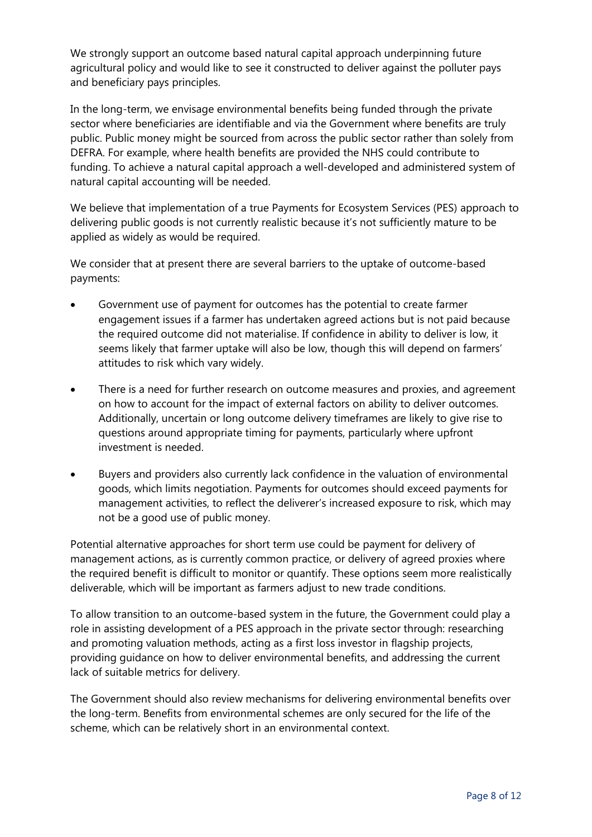We strongly support an outcome based natural capital approach underpinning future agricultural policy and would like to see it constructed to deliver against the polluter pays and beneficiary pays principles.

In the long-term, we envisage environmental benefits being funded through the private sector where beneficiaries are identifiable and via the Government where benefits are truly public. Public money might be sourced from across the public sector rather than solely from DEFRA. For example, where health benefits are provided the NHS could contribute to funding. To achieve a natural capital approach a well-developed and administered system of natural capital accounting will be needed.

We believe that implementation of a true Payments for Ecosystem Services (PES) approach to delivering public goods is not currently realistic because it's not sufficiently mature to be applied as widely as would be required.

We consider that at present there are several barriers to the uptake of outcome-based payments:

- Government use of payment for outcomes has the potential to create farmer engagement issues if a farmer has undertaken agreed actions but is not paid because the required outcome did not materialise. If confidence in ability to deliver is low, it seems likely that farmer uptake will also be low, though this will depend on farmers' attitudes to risk which vary widely.
- There is a need for further research on outcome measures and proxies, and agreement on how to account for the impact of external factors on ability to deliver outcomes. Additionally, uncertain or long outcome delivery timeframes are likely to give rise to questions around appropriate timing for payments, particularly where upfront investment is needed.
- Buyers and providers also currently lack confidence in the valuation of environmental goods, which limits negotiation. Payments for outcomes should exceed payments for management activities, to reflect the deliverer's increased exposure to risk, which may not be a good use of public money.

Potential alternative approaches for short term use could be payment for delivery of management actions, as is currently common practice, or delivery of agreed proxies where the required benefit is difficult to monitor or quantify. These options seem more realistically deliverable, which will be important as farmers adjust to new trade conditions.

To allow transition to an outcome-based system in the future, the Government could play a role in assisting development of a PES approach in the private sector through: researching and promoting valuation methods, acting as a first loss investor in flagship projects, providing guidance on how to deliver environmental benefits, and addressing the current lack of suitable metrics for delivery.

The Government should also review mechanisms for delivering environmental benefits over the long-term. Benefits from environmental schemes are only secured for the life of the scheme, which can be relatively short in an environmental context.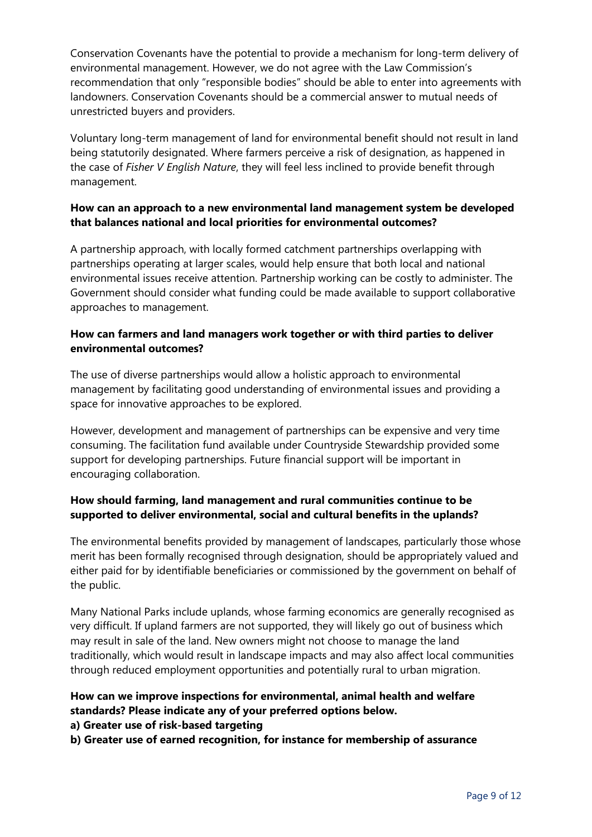Conservation Covenants have the potential to provide a mechanism for long-term delivery of environmental management. However, we do not agree with the Law Commission's recommendation that only "responsible bodies" should be able to enter into agreements with landowners. Conservation Covenants should be a commercial answer to mutual needs of unrestricted buyers and providers.

Voluntary long-term management of land for environmental benefit should not result in land being statutorily designated. Where farmers perceive a risk of designation, as happened in the case of *Fisher V English Nature*, they will feel less inclined to provide benefit through management.

# **How can an approach to a new environmental land management system be developed that balances national and local priorities for environmental outcomes?**

A partnership approach, with locally formed catchment partnerships overlapping with partnerships operating at larger scales, would help ensure that both local and national environmental issues receive attention. Partnership working can be costly to administer. The Government should consider what funding could be made available to support collaborative approaches to management.

# **How can farmers and land managers work together or with third parties to deliver environmental outcomes?**

The use of diverse partnerships would allow a holistic approach to environmental management by facilitating good understanding of environmental issues and providing a space for innovative approaches to be explored.

However, development and management of partnerships can be expensive and very time consuming. The facilitation fund available under Countryside Stewardship provided some support for developing partnerships. Future financial support will be important in encouraging collaboration.

# **How should farming, land management and rural communities continue to be supported to deliver environmental, social and cultural benefits in the uplands?**

The environmental benefits provided by management of landscapes, particularly those whose merit has been formally recognised through designation, should be appropriately valued and either paid for by identifiable beneficiaries or commissioned by the government on behalf of the public.

Many National Parks include uplands, whose farming economics are generally recognised as very difficult. If upland farmers are not supported, they will likely go out of business which may result in sale of the land. New owners might not choose to manage the land traditionally, which would result in landscape impacts and may also affect local communities through reduced employment opportunities and potentially rural to urban migration.

# **How can we improve inspections for environmental, animal health and welfare standards? Please indicate any of your preferred options below.**

# **a) Greater use of risk-based targeting**

**b) Greater use of earned recognition, for instance for membership of assurance**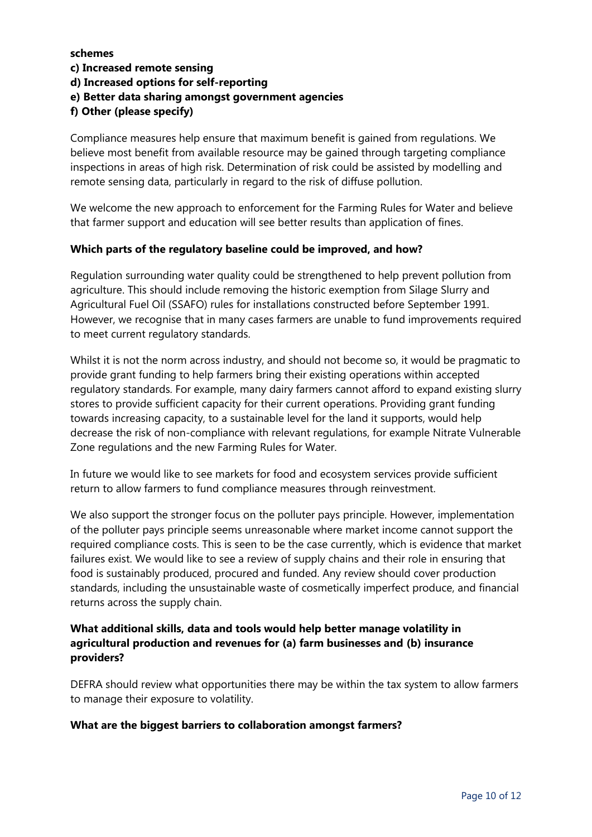#### **schemes**

- **c) Increased remote sensing**
- **d) Increased options for self-reporting**
- **e) Better data sharing amongst government agencies**

# **f) Other (please specify)**

Compliance measures help ensure that maximum benefit is gained from regulations. We believe most benefit from available resource may be gained through targeting compliance inspections in areas of high risk. Determination of risk could be assisted by modelling and remote sensing data, particularly in regard to the risk of diffuse pollution.

We welcome the new approach to enforcement for the Farming Rules for Water and believe that farmer support and education will see better results than application of fines.

#### **Which parts of the regulatory baseline could be improved, and how?**

Regulation surrounding water quality could be strengthened to help prevent pollution from agriculture. This should include removing the historic exemption from Silage Slurry and Agricultural Fuel Oil (SSAFO) rules for installations constructed before September 1991. However, we recognise that in many cases farmers are unable to fund improvements required to meet current regulatory standards.

Whilst it is not the norm across industry, and should not become so, it would be pragmatic to provide grant funding to help farmers bring their existing operations within accepted regulatory standards. For example, many dairy farmers cannot afford to expand existing slurry stores to provide sufficient capacity for their current operations. Providing grant funding towards increasing capacity, to a sustainable level for the land it supports, would help decrease the risk of non-compliance with relevant regulations, for example Nitrate Vulnerable Zone regulations and the new Farming Rules for Water.

In future we would like to see markets for food and ecosystem services provide sufficient return to allow farmers to fund compliance measures through reinvestment.

We also support the stronger focus on the polluter pays principle. However, implementation of the polluter pays principle seems unreasonable where market income cannot support the required compliance costs. This is seen to be the case currently, which is evidence that market failures exist. We would like to see a review of supply chains and their role in ensuring that food is sustainably produced, procured and funded. Any review should cover production standards, including the unsustainable waste of cosmetically imperfect produce, and financial returns across the supply chain.

# **What additional skills, data and tools would help better manage volatility in agricultural production and revenues for (a) farm businesses and (b) insurance providers?**

DEFRA should review what opportunities there may be within the tax system to allow farmers to manage their exposure to volatility.

#### **What are the biggest barriers to collaboration amongst farmers?**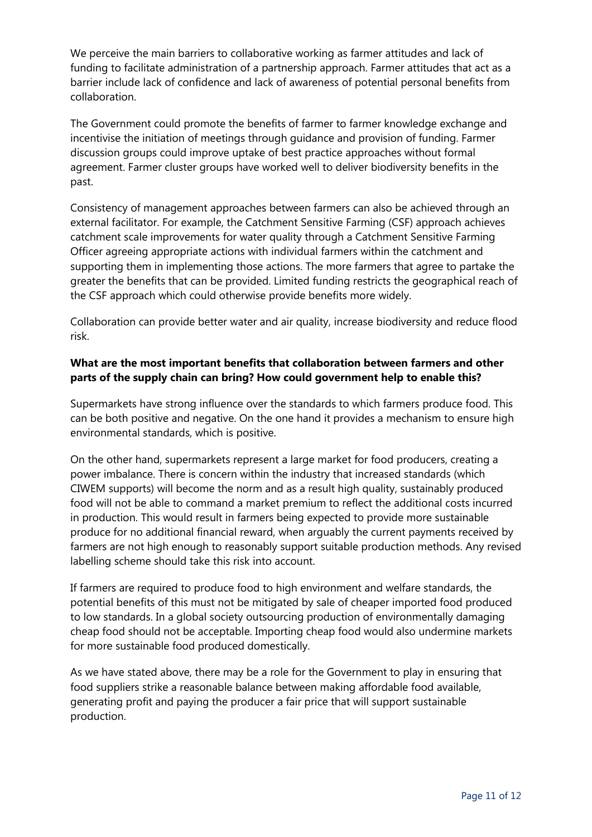We perceive the main barriers to collaborative working as farmer attitudes and lack of funding to facilitate administration of a partnership approach. Farmer attitudes that act as a barrier include lack of confidence and lack of awareness of potential personal benefits from collaboration.

The Government could promote the benefits of farmer to farmer knowledge exchange and incentivise the initiation of meetings through guidance and provision of funding. Farmer discussion groups could improve uptake of best practice approaches without formal agreement. Farmer cluster groups have worked well to deliver biodiversity benefits in the past.

Consistency of management approaches between farmers can also be achieved through an external facilitator. For example, the Catchment Sensitive Farming (CSF) approach achieves catchment scale improvements for water quality through a Catchment Sensitive Farming Officer agreeing appropriate actions with individual farmers within the catchment and supporting them in implementing those actions. The more farmers that agree to partake the greater the benefits that can be provided. Limited funding restricts the geographical reach of the CSF approach which could otherwise provide benefits more widely.

Collaboration can provide better water and air quality, increase biodiversity and reduce flood risk.

# **What are the most important benefits that collaboration between farmers and other parts of the supply chain can bring? How could government help to enable this?**

Supermarkets have strong influence over the standards to which farmers produce food. This can be both positive and negative. On the one hand it provides a mechanism to ensure high environmental standards, which is positive.

On the other hand, supermarkets represent a large market for food producers, creating a power imbalance. There is concern within the industry that increased standards (which CIWEM supports) will become the norm and as a result high quality, sustainably produced food will not be able to command a market premium to reflect the additional costs incurred in production. This would result in farmers being expected to provide more sustainable produce for no additional financial reward, when arguably the current payments received by farmers are not high enough to reasonably support suitable production methods. Any revised labelling scheme should take this risk into account.

If farmers are required to produce food to high environment and welfare standards, the potential benefits of this must not be mitigated by sale of cheaper imported food produced to low standards. In a global society outsourcing production of environmentally damaging cheap food should not be acceptable. Importing cheap food would also undermine markets for more sustainable food produced domestically.

As we have stated above, there may be a role for the Government to play in ensuring that food suppliers strike a reasonable balance between making affordable food available, generating profit and paying the producer a fair price that will support sustainable production.